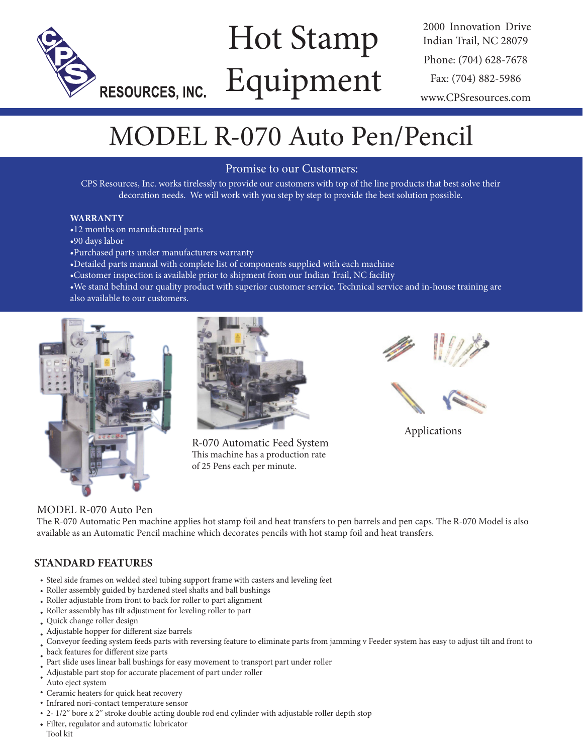

# Hot Stamp Equipment

2000 Innovation Drive Indian Trail, NC 28079 Phone: (704) 628-7678 Fax: (704) 882-5986 www.CPSresources.com

# MODEL R-070 Auto Pen/Pencil

## Promise to our Customers:

CPS Resources, Inc. works tirelessly to provide our customers with top of the line products that best solve their decoration needs. We will work with you step by step to provide the best solution possible.

#### **WARRANTY**

- •12 months on manufactured parts
- •90 days labor
- •Purchased parts under manufacturers warranty
- •Detailed parts manual with complete list of components supplied with each machine
- •Customer inspection is available prior to shipment from our Indian Trail, NC facility
- •We stand behind our quality product with superior customer service. Technical service and in-house training are also available to our customers.





R-070 Automatic Feed System This machine has a production rate of 25 Pens each per minute.



Applications

## MODEL R-070 Auto Pen

The R-070 Automatic Pen machine applies hot stamp foil and heat transfers to pen barrels and pen caps. The R-070 Model is also available as an Automatic Pencil machine which decorates pencils with hot stamp foil and heat transfers.

# **STANDARD FEATURES**

- Steel side frames on welded steel tubing support frame with casters and leveling feet
- Roller assembly guided by hardened steel shafts and ball bushings
- Roller adjustable from front to back for roller to part alignment
- Roller assembly has tilt adjustment for leveling roller to part
- Quick change roller design
- Adjustable hopper for different size barrels
- Conveyor feeding system feeds parts with reversing feature to eliminate parts from jamming v Feeder system has easy to adjust tilt and front to
- back features for different size parts
- Part slide uses linear ball bushings for easy movement to transport part under roller
- . Adjustable part stop for accurate placement of part under roller
- Auto eject system
- Ceramic heaters for quick heat recovery
- Infrared nori-contact temperature sensor
- 2- 1/2" bore x 2" stroke double acting double rod end cylinder with adjustable roller depth stop
- Filter, regulator and automatic lubricator Tool kit